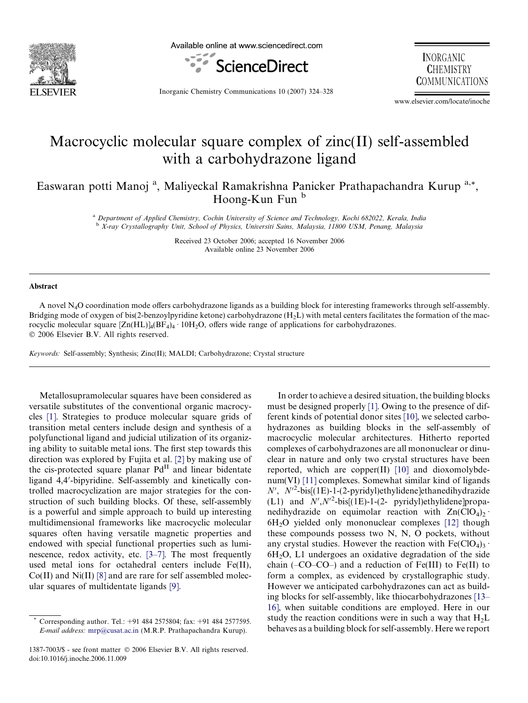

Available online at www.sciencedirect.com



**INORGANIC CHEMISTRY COMMUNICATIONS** 

Inorganic Chemistry Communications 10 (2007) 324–328

www.elsevier.com/locate/inoche

# Macrocyclic molecular square complex of zinc(II) self-assembled with a carbohydrazone ligand

Easwaran potti Manoj<sup>a</sup>, Maliyeckal Ramakrishna Panicker Prathapachandra Kurup<sup>a,\*</sup>, Hoong-Kun Fun b

> <sup>a</sup> Department of Applied Chemistry, Cochin University of Science and Technology, Kochi 682022, Kerala, India <sup>b</sup> X-ray Crystallography Unit, School of Physics, Universiti Sains, Malaysia, 11800 USM, Penang, Malaysia

> > Received 23 October 2006; accepted 16 November 2006 Available online 23 November 2006

#### Abstract

A novel N4O coordination mode offers carbohydrazone ligands as a building block for interesting frameworks through self-assembly. Bridging mode of oxygen of bis(2-benzoylpyridine ketone) carbohydrazone  $(H<sub>2</sub>L)$  with metal centers facilitates the formation of the macrocyclic molecular square  $[Zn(HL)]_4(BF_4)_4 \cdot 10H_2O$ , offers wide range of applications for carbohydrazones. © 2006 Elsevier B.V. All rights reserved.

Keywords: Self-assembly; Synthesis; Zinc(II); MALDI; Carbohydrazone; Crystal structure

Metallosupramolecular squares have been considered as versatile substitutes of the conventional organic macrocycles [\[1\]](#page-3-0). Strategies to produce molecular square grids of transition metal centers include design and synthesis of a polyfunctional ligand and judicial utilization of its organizing ability to suitable metal ions. The first step towards this direction was explored by Fujita et al. [\[2\]](#page-3-0) by making use of the cis-protected square planar  $Pd<sup>H</sup>$  and linear bidentate ligand 4,4'-bipyridine. Self-assembly and kinetically controlled macrocyclization are major strategies for the construction of such building blocks. Of these, self-assembly is a powerful and simple approach to build up interesting multidimensional frameworks like macrocyclic molecular squares often having versatile magnetic properties and endowed with special functional properties such as luminescence, redox activity, etc. [\[3–7\]](#page-3-0). The most frequently used metal ions for octahedral centers include Fe(II),  $Co(II)$  and  $Ni(II)$  [\[8\]](#page-3-0) and are rare for self assembled molecular squares of multidentate ligands [\[9\].](#page-3-0)

In order to achieve a desired situation, the building blocks must be designed properly [\[1\].](#page-3-0) Owing to the presence of different kinds of potential donor sites [\[10\],](#page-3-0) we selected carbohydrazones as building blocks in the self-assembly of macrocyclic molecular architectures. Hitherto reported complexes of carbohydrazones are all mononuclear or dinuclear in nature and only two crystal structures have been reported, which are copper $(II)$  [\[10\]](#page-3-0) and dioxomolybdenum(VI) [\[11\]](#page-3-0) complexes. Somewhat similar kind of ligands  $N'$ ,  $N'^2$ -bis[(1E)-1-(2-pyridyl)ethylidene]ethanedihydrazide (L1) and  $N', N'^2$ -bis[(1E)-1-(2- pyridyl)ethylidene]propanedihydrazide on equimolar reaction with  $Zn(CIO<sub>4</sub>)<sub>2</sub>$ .  $6H<sub>2</sub>O$  yielded only mononuclear complexes [\[12\]](#page-3-0) though these compounds possess two N, N, O pockets, without any crystal studies. However the reaction with  $Fe(CIO<sub>4</sub>)<sub>3</sub>$ .  $6H<sub>2</sub>O$ , L1 undergoes an oxidative degradation of the side chain  $(-CO-CO-)$  and a reduction of Fe(III) to Fe(II) to form a complex, as evidenced by crystallographic study. However we anticipated carbohydrazones can act as building blocks for self-assembly, like thiocarbohydrazones [\[13–](#page-4-0) [16\]](#page-4-0), when suitable conditions are employed. Here in our study the reaction conditions were in such a way that  $H_2L$ behaves as a building block for self-assembly. Here we report

<sup>\*</sup> Corresponding author. Tel.: +91 484 2575804; fax: +91 484 2577595. E-mail address: [mrp@cusat.ac.in](mailto:mrp@cusat.ac.in) (M.R.P. Prathapachandra Kurup).

<sup>1387-7003/\$ -</sup> see front matter © 2006 Elsevier B.V. All rights reserved. doi:10.1016/j.inoche.2006.11.009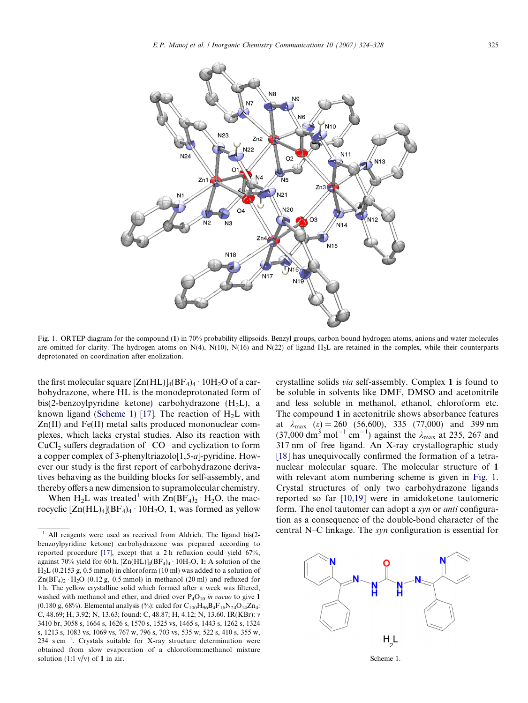

Fig. 1. ORTEP diagram for the compound (1) in 70% probability ellipsoids. Benzyl groups, carbon bound hydrogen atoms, anions and water molecules are omitted for clarity. The hydrogen atoms on  $N(4)$ ,  $N(10)$ ,  $N(16)$  and  $N(22)$  of ligand  $H_2L$  are retained in the complex, while their counterparts deprotonated on coordination after enolization.

the first molecular square  $[Zn(HL)]_4(BF_4)_4 \cdot 10H_2O$  of a carbohydrazone, where HL is the monodeprotonated form of bis(2-benzoylpyridine ketone) carbohydrazone  $(H_2L)$ , a known ligand (Scheme 1) [\[17\].](#page-4-0) The reaction of  $H_2L$  with Zn(II) and Fe(II) metal salts produced mononuclear complexes, which lacks crystal studies. Also its reaction with CuCl<sub>2</sub> suffers degradation of  $-CO$ – and cyclization to form a copper complex of 3-phenyltriazolo[1,5-a]-pyridine. However our study is the first report of carbohydrazone derivatives behaving as the building blocks for self-assembly, and thereby offers a new dimension to supramolecular chemistry.

When  $H_2L$  was treated<sup>1</sup> with  $Zn(BF_4)_2 \cdot H_2O$ , the macrocyclic  $[Zn(HL)_4](BF_4)_4 \cdot 10H_2O$ , 1, was formed as yellow crystalline solids via self-assembly. Complex 1 is found to be soluble in solvents like DMF, DMSO and acetonitrile and less soluble in methanol, ethanol, chloroform etc. The compound 1 in acetonitrile shows absorbance features at  $\lambda_{\text{max}}$  ( $\varepsilon$ ) = 260 (56,600), 335 (77,000) and 399 nm  $(37,000 \text{ dm}^3 \text{ mol}^{-1} \text{ cm}^{-1})$  against the  $\lambda_{\text{max}}$  at 235, 267 and 317 nm of free ligand. An X-ray crystallographic study [\[18\]](#page-4-0) has unequivocally confirmed the formation of a tetranuclear molecular square. The molecular structure of 1 with relevant atom numbering scheme is given in Fig. 1. Crystal structures of only two carbohydrazone ligands reported so far [\[10,19\]](#page-3-0) were in amidoketone tautomeric form. The enol tautomer can adopt a syn or *anti* configuration as a consequence of the double-bond character of the central N–C linkage. The syn configuration is essential for



All reagents were used as received from Aldrich. The ligand bis(2benzoylpyridine ketone) carbohydrazone was prepared according to reported procedure [\[17\]](#page-4-0), except that a 2 h refluxion could yield 67%, against 70% yield for 60 h. [Zn(HL)]<sub>4</sub>(BF<sub>4</sub>)<sub>4</sub> · 10H<sub>2</sub>O, 1: A solution of the H2L (0.2153 g, 0.5 mmol) in chloroform (10 ml) was added to a solution of  $Zn(BF_4)_2 \cdot H_2O$  (0.12 g, 0.5 mmol) in methanol (20 ml) and refluxed for 1 h. The yellow crystalline solid which formed after a week was filtered, washed with methanol and ether, and dried over  $P_4O_{10}$  in vacuo to give 1 (0.180 g, 68%). Elemental analysis (%): calcd for  $C_{100}H_{96}B_4F_{16}N_{24}O_{14}Zn_4$ : C, 48.69; H, 3.92; N, 13.63; found: C, 48.87; H, 4.12; N, 13.60. IR(KBr): v 3410 br, 3058 s, 1664 s, 1626 s, 1570 s, 1525 vs, 1465 s, 1443 s, 1262 s, 1324 s, 1213 s, 1083 vs, 1069 vs, 767 w, 796 s, 703 vs, 535 w, 522 s, 410 s, 355 w, 234  $\text{s cm}^{-1}$ . Crystals suitable for X-ray structure determination were obtained from slow evaporation of a chloroform:methanol mixture solution  $(1:1 \text{ v/v})$  of 1 in air.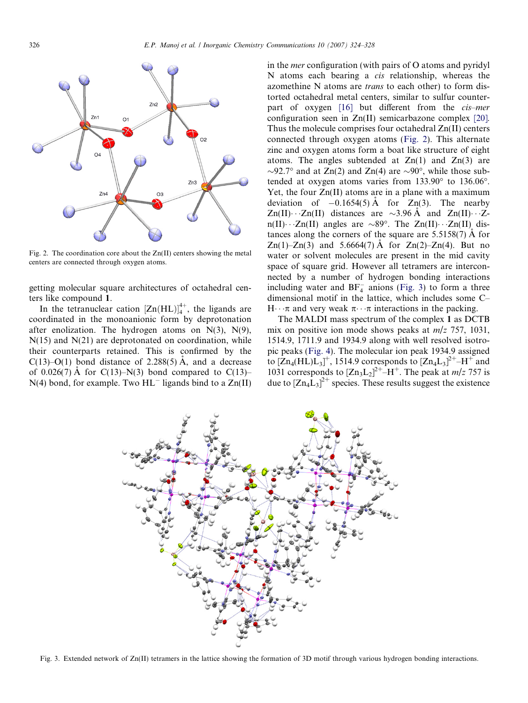

Fig. 2. The coordination core about the  $Zn(II)$  centers showing the metal centers are connected through oxygen atoms.

getting molecular square architectures of octahedral centers like compound 1.

In the tetranuclear cation  $[Zn(HL)]_4^{4+}$ , the ligands are coordinated in the monoanionic form by deprotonation after enolization. The hydrogen atoms on  $N(3)$ ,  $N(9)$ ,  $N(15)$  and  $N(21)$  are deprotonated on coordination, while their counterparts retained. This is confirmed by the C(13)–O(1) bond distance of 2.288(5)  $\AA$ , and a decrease of 0.026(7)  $\AA$  for C(13)–N(3) bond compared to C(13)–  $N(4)$  bond, for example. Two  $HL^-$  ligands bind to a  $Zn(II)$ 

in the mer configuration (with pairs of O atoms and pyridyl N atoms each bearing a cis relationship, whereas the azomethine N atoms are *trans* to each other) to form distorted octahedral metal centers, similar to sulfur counterpart of oxygen [\[16\]](#page-4-0) but different from the cis–mer configuration seen in Zn(II) semicarbazone complex [\[20\]](#page-4-0). Thus the molecule comprises four octahedral Zn(II) centers connected through oxygen atoms (Fig. 2). This alternate zinc and oxygen atoms form a boat like structure of eight atoms. The angles subtended at  $Zn(1)$  and  $Zn(3)$  are  $\sim$ 92.7° and at Zn(2) and Zn(4) are  $\sim$ 90°, while those subtended at oxygen atoms varies from  $133.90^{\circ}$  to  $136.06^{\circ}$ . Yet, the four Zn(II) atoms are in a plane with a maximum deviation of  $-0.1654(5)$  Å for  $Zn(3)$ . The nearby  $Zn(II)\cdots Zn(II)$  distances are  $\sim$ 3.96 Å and  $Zn(II)\cdots Z$  $n(II)\cdots Zn(II)$  angles are  $\sim 89^\circ$ . The  $Zn(II)\cdots Zn(II)$  distances along the corners of the square are  $5.5158(7)$  Å for Zn(1)–Zn(3) and 5.6664(7) A for Zn(2)–Zn(4). But no water or solvent molecules are present in the mid cavity space of square grid. However all tetramers are interconnected by a number of hydrogen bonding interactions including water and  $BF_4^-$  anions (Fig. 3) to form a three dimensional motif in the lattice, which includes some C–  $H \cdot \pi$  and very weak  $\pi \cdot \pi$  interactions in the packing.

The MALDI mass spectrum of the complex 1 as DCTB mix on positive ion mode shows peaks at  $m/z$  757, 1031, 1514.9, 1711.9 and 1934.9 along with well resolved isotropic peaks ([Fig. 4\)](#page-3-0). The molecular ion peak 1934.9 assigned to  $[Zn_4(HL)L_3]^+$ , 1514.9 corresponds to  $[Zn_4L_3]^{2+}$ –H<sup>+</sup> and 1031 corresponds to  $[Zn_3L_2]^{2+}$ –H<sup>+</sup>. The peak at *m/z* 757 is due to  $[Zn_4\hat{L}_3]^{2+}$  species. These results suggest the existence



Fig. 3. Extended network of Zn(II) tetramers in the lattice showing the formation of 3D motif through various hydrogen bonding interactions.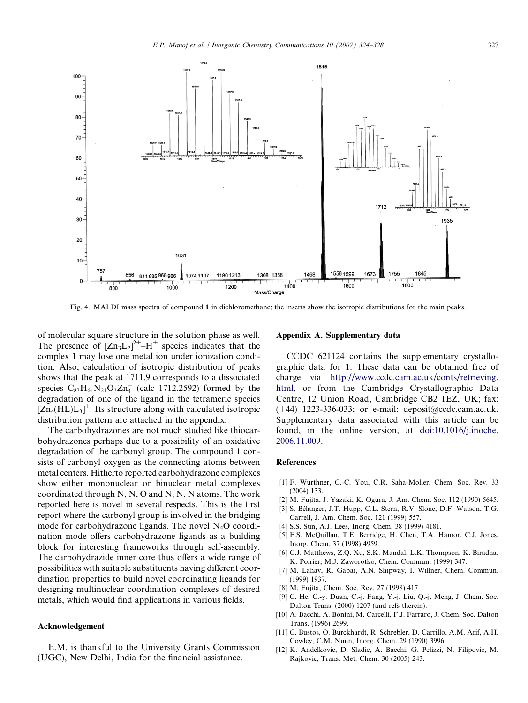<span id="page-3-0"></span>

Fig. 4. MALDI mass spectra of compound 1 in dichloromethane; the inserts show the isotropic distributions for the main peaks.

of molecular square structure in the solution phase as well. The presence of  $[Zn_3L_2]^{2+}$ -H<sup>+</sup> species indicates that the complex 1 may lose one metal ion under ionization condition. Also, calculation of isotropic distribution of peaks shows that the peak at 1711.9 corresponds to a dissociated species  $C_{87}H_{64}N_{21}O_3Zn_4^+$  (calc 1712.2592) formed by the degradation of one of the ligand in the tetrameric species  $[Zn_4(HL)L_3]^+$ . Its structure along with calculated isotropic distribution pattern are attached in the appendix.

The carbohydrazones are not much studied like thiocarbohydrazones perhaps due to a possibility of an oxidative degradation of the carbonyl group. The compound 1 consists of carbonyl oxygen as the connecting atoms between metal centers. Hitherto reported carbohydrazone complexes show either mononuclear or binuclear metal complexes coordinated through N, N, O and N, N, N atoms. The work reported here is novel in several respects. This is the first report where the carbonyl group is involved in the bridging mode for carbohydrazone ligands. The novel  $N_4O$  coordination mode offers carbohydrazone ligands as a building block for interesting frameworks through self-assembly. The carbohydrazide inner core thus offers a wide range of possibilities with suitable substituents having different coordination properties to build novel coordinating ligands for designing multinuclear coordination complexes of desired metals, which would find applications in various fields.

## Acknowledgement

E.M. is thankful to the University Grants Commission (UGC), New Delhi, India for the financial assistance.

#### Appendix A. Supplementary data

CCDC 621124 contains the supplementary crystallographic data for 1. These data can be obtained free of charge via [http://www.ccdc.cam.ac.uk/conts/retrieving.](http://www.ccdc.cam.ac.uk/conts/retrieving.html) [html](http://www.ccdc.cam.ac.uk/conts/retrieving.html), or from the Cambridge Crystallographic Data Centre, 12 Union Road, Cambridge CB2 1EZ, UK; fax:  $(+44)$  1223-336-033; or e-mail: deposit@ccdc.cam.ac.uk. Supplementary data associated with this article can be found, in the online version, at [doi:10.1016/j.inoche.](http://dx.doi.org/10.1016/j.inoche.2006.11.009) [2006.11.009.](http://dx.doi.org/10.1016/j.inoche.2006.11.009)

### References

- [1] F. Wurthner, C.-C. You, C.R. Saha-Moller, Chem. Soc. Rev. 33 (2004) 133.
- [2] M. Fujita, J. Yazaki, K. Ogura, J. Am. Chem. Soc. 112 (1990) 5645.
- [3] S. Bélanger, J.T. Hupp, C.L. Stern, R.V. Slone, D.F. Watson, T.G. Carrell, J. Am. Chem. Soc. 121 (1999) 557.
- [4] S.S. Sun, A.J. Lees, Inorg. Chem. 38 (1999) 4181.
- [5] F.S. McQuillan, T.E. Berridge, H. Chen, T.A. Hamor, C.J. Jones, Inorg. Chem. 37 (1998) 4959.
- [6] C.J. Matthews, Z.Q. Xu, S.K. Mandal, L.K. Thompson, K. Biradha, K. Poirier, M.J. Zaworotko, Chem. Commun. (1999) 347.
- [7] M. Lahav, R. Gabai, A.N. Shipway, I. Willner, Chem. Commun. (1999) 1937.
- [8] M. Fujita, Chem. Soc. Rev. 27 (1998) 417.
- [9] C. He, C.-y. Duan, C.-j. Fang, Y.-j. Liu, Q.-j. Meng, J. Chem. Soc. Dalton Trans. (2000) 1207 (and refs therein).
- [10] A. Bacchi, A. Bonini, M. Carcelli, F.J. Farraro, J. Chem. Soc. Dalton Trans. (1996) 2699.
- [11] C. Bustos, O. Burckhardt, R. Schrebler, D. Carrillo, A.M. Arif, A.H. Cowley, C.M. Nunn, Inorg. Chem. 29 (1990) 3996.
- [12] K. Andelkovic, D. Sladic, A. Bacchi, G. Pelizzi, N. Filipovic, M. Rajkovic, Trans. Met. Chem. 30 (2005) 243.